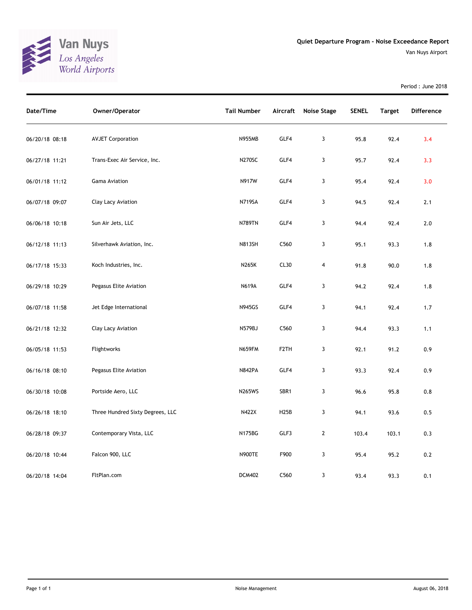

Period : June 2018

| Date/Time      | Owner/Operator                   | <b>Tail Number</b> | Aircraft          | <b>Noise Stage</b> | <b>SENEL</b> | <b>Target</b> | Difference |
|----------------|----------------------------------|--------------------|-------------------|--------------------|--------------|---------------|------------|
| 06/20/18 08:18 | <b>AVJET Corporation</b>         | <b>N955MB</b>      | GLF4              | 3                  | 95.8         | 92.4          | 3.4        |
| 06/27/18 11:21 | Trans-Exec Air Service, Inc.     | <b>N270SC</b>      | GLF4              | 3                  | 95.7         | 92.4          | 3.3        |
| 06/01/18 11:12 | Gama Aviation                    | N917W              | GLF4              | 3                  | 95.4         | 92.4          | 3.0        |
| 06/07/18 09:07 | Clay Lacy Aviation               | <b>N719SA</b>      | GLF4              | 3                  | 94.5         | 92.4          | 2.1        |
| 06/06/18 10:18 | Sun Air Jets, LLC                | <b>N789TN</b>      | GLF4              | 3                  | 94.4         | 92.4          | 2.0        |
| 06/12/18 11:13 | Silverhawk Aviation, Inc.        | <b>N813SH</b>      | C560              | 3                  | 95.1         | 93.3          | 1.8        |
| 06/17/18 15:33 | Koch Industries, Inc.            | N265K              | CL30              | 4                  | 91.8         | 90.0          | 1.8        |
| 06/29/18 10:29 | Pegasus Elite Aviation           | <b>N619A</b>       | GLF4              | 3                  | 94.2         | 92.4          | 1.8        |
| 06/07/18 11:58 | Jet Edge International           | <b>N945GS</b>      | GLF4              | 3                  | 94.1         | 92.4          | 1.7        |
| 06/21/18 12:32 | Clay Lacy Aviation               | N579BJ             | C560              | 3                  | 94.4         | 93.3          | 1.1        |
| 06/05/18 11:53 | Flightworks                      | <b>N659FM</b>      | F <sub>2</sub> TH | 3                  | 92.1         | 91.2          | 0.9        |
| 06/16/18 08:10 | Pegasus Elite Aviation           | <b>N842PA</b>      | GLF4              | 3                  | 93.3         | 92.4          | 0.9        |
| 06/30/18 10:08 | Portside Aero, LLC               | <b>N265WS</b>      | SBR1              | 3                  | 96.6         | 95.8          | 0.8        |
| 06/26/18 18:10 | Three Hundred Sixty Degrees, LLC | N422X              | H25B              | 3                  | 94.1         | 93.6          | 0.5        |
| 06/28/18 09:37 | Contemporary Vista, LLC          | N175BG             | GLF3              | $\mathbf{2}$       | 103.4        | 103.1         | 0.3        |
| 06/20/18 10:44 | Falcon 900, LLC                  | <b>N900TE</b>      | F900              | 3                  | 95.4         | 95.2          | 0.2        |
| 06/20/18 14:04 | FltPlan.com                      | <b>DCM402</b>      | C560              | 3                  | 93.4         | 93.3          | 0.1        |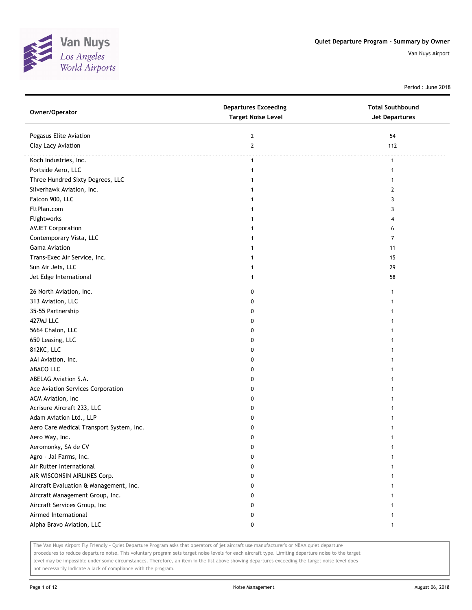

Period : June 2018

| Owner/Operator                           | <b>Departures Exceeding</b><br><b>Target Noise Level</b> | <b>Total Southbound</b><br><b>Jet Departures</b> |
|------------------------------------------|----------------------------------------------------------|--------------------------------------------------|
| Pegasus Elite Aviation                   | $\mathbf{2}$                                             | 54                                               |
| Clay Lacy Aviation                       | $\overline{2}$                                           | 112                                              |
| Koch Industries, Inc.                    | $\mathbf{1}$                                             | $\mathbf{1}$                                     |
| Portside Aero, LLC                       | 1                                                        | 1                                                |
| Three Hundred Sixty Degrees, LLC         |                                                          | 1                                                |
| Silverhawk Aviation, Inc.                |                                                          | 2                                                |
| Falcon 900, LLC                          |                                                          | 3                                                |
| FltPlan.com                              |                                                          | 3                                                |
| Flightworks                              |                                                          |                                                  |
| <b>AVJET Corporation</b>                 |                                                          | 6                                                |
| Contemporary Vista, LLC                  |                                                          | 7                                                |
| Gama Aviation                            |                                                          | 11                                               |
| Trans-Exec Air Service, Inc.             |                                                          | 15                                               |
| Sun Air Jets, LLC                        |                                                          | 29                                               |
| Jet Edge International                   | 1                                                        | 58                                               |
| 26 North Aviation, Inc.                  | 0                                                        | $\mathbf{1}$                                     |
| 313 Aviation, LLC                        | 0                                                        |                                                  |
| 35-55 Partnership                        | 0                                                        |                                                  |
| 427MJ LLC                                | 0                                                        |                                                  |
| 5664 Chalon, LLC                         | 0                                                        |                                                  |
| 650 Leasing, LLC                         | 0                                                        |                                                  |
| 812KC, LLC                               | 0                                                        |                                                  |
| AAI Aviation, Inc.                       | 0                                                        |                                                  |
| ABACO LLC                                | 0                                                        |                                                  |
| ABELAG Aviation S.A.                     | 0                                                        |                                                  |
| Ace Aviation Services Corporation        | 0                                                        |                                                  |
| ACM Aviation, Inc                        | 0                                                        |                                                  |
| Acrisure Aircraft 233, LLC               | 0                                                        |                                                  |
| Adam Aviation Ltd., LLP                  | 0                                                        |                                                  |
| Aero Care Medical Transport System, Inc. | 0                                                        |                                                  |
| Aero Way, Inc.                           | 0                                                        |                                                  |
| Aeromonky, SA de CV                      | 0                                                        |                                                  |
| Agro - Jal Farms, Inc.                   | 0                                                        |                                                  |
| Air Rutter International                 | 0                                                        |                                                  |
| AIR WISCONSIN AIRLINES Corp.             | 0                                                        | 1                                                |
| Aircraft Evaluation & Management, Inc.   | 0                                                        | 1                                                |
| Aircraft Management Group, Inc.          | 0                                                        |                                                  |
| Aircraft Services Group, Inc             | 0                                                        |                                                  |
| Airmed International                     | 0                                                        |                                                  |
| Alpha Bravo Aviation, LLC                | 0                                                        | 1                                                |

The Van Nuys Airport Fly Friendly - Quiet Departure Program asks that operators of jet aircraft use manufacturer's or NBAA quiet departure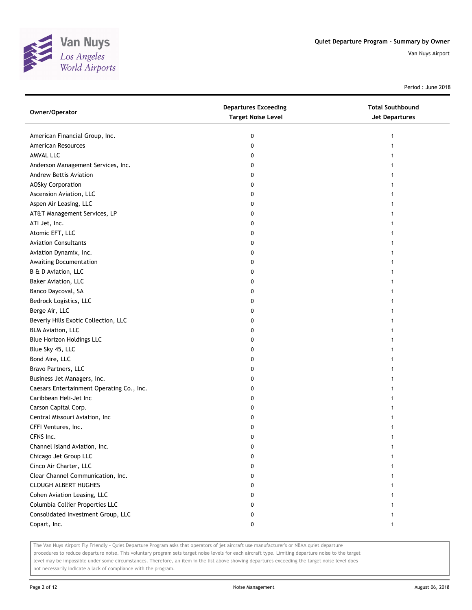

Period : June 2018

| Owner/Operator                            | <b>Departures Exceeding</b><br><b>Target Noise Level</b> | <b>Total Southbound</b><br><b>Jet Departures</b> |
|-------------------------------------------|----------------------------------------------------------|--------------------------------------------------|
| American Financial Group, Inc.            | 0                                                        | 1                                                |
| American Resources                        | 0                                                        |                                                  |
| AMVAL LLC                                 | 0                                                        |                                                  |
| Anderson Management Services, Inc.        | 0                                                        |                                                  |
| Andrew Bettis Aviation                    | 0                                                        |                                                  |
| <b>AOSky Corporation</b>                  | 0                                                        |                                                  |
| Ascension Aviation, LLC                   | 0                                                        |                                                  |
| Aspen Air Leasing, LLC                    | 0                                                        |                                                  |
| AT&T Management Services, LP              | 0                                                        |                                                  |
| ATI Jet, Inc.                             | 0                                                        |                                                  |
| Atomic EFT, LLC                           | 0                                                        |                                                  |
| <b>Aviation Consultants</b>               | 0                                                        |                                                  |
| Aviation Dynamix, Inc.                    | 0                                                        |                                                  |
| Awaiting Documentation                    | 0                                                        |                                                  |
| B & D Aviation, LLC                       | 0                                                        |                                                  |
| Baker Aviation, LLC                       | 0                                                        |                                                  |
| Banco Daycoval, SA                        | 0                                                        |                                                  |
| Bedrock Logistics, LLC                    | 0                                                        |                                                  |
| Berge Air, LLC                            | 0                                                        |                                                  |
| Beverly Hills Exotic Collection, LLC      | 0                                                        |                                                  |
| <b>BLM Aviation, LLC</b>                  | 0                                                        |                                                  |
| <b>Blue Horizon Holdings LLC</b>          | 0                                                        |                                                  |
| Blue Sky 45, LLC                          | 0                                                        |                                                  |
| Bond Aire, LLC                            | 0                                                        |                                                  |
| Bravo Partners, LLC                       | 0                                                        |                                                  |
| Business Jet Managers, Inc.               | 0                                                        |                                                  |
| Caesars Entertainment Operating Co., Inc. | 0                                                        |                                                  |
| Caribbean Heli-Jet Inc                    | 0                                                        |                                                  |
| Carson Capital Corp.                      | 0                                                        |                                                  |
| Central Missouri Aviation, Inc            | 0                                                        |                                                  |
| CFFI Ventures, Inc.                       | 0                                                        |                                                  |
| CFNS Inc.                                 | 0                                                        |                                                  |
| Channel Island Aviation, Inc.             | 0                                                        |                                                  |
| Chicago Jet Group LLC                     | 0                                                        |                                                  |
| Cinco Air Charter, LLC                    | 0                                                        |                                                  |
| Clear Channel Communication, Inc.         | 0                                                        |                                                  |
| <b>CLOUGH ALBERT HUGHES</b>               | 0                                                        |                                                  |
| Cohen Aviation Leasing, LLC               | 0                                                        |                                                  |
| Columbia Collier Properties LLC           | 0                                                        |                                                  |
| Consolidated Investment Group, LLC        | 0                                                        |                                                  |
| Copart, Inc.                              | 0                                                        |                                                  |

The Van Nuys Airport Fly Friendly - Quiet Departure Program asks that operators of jet aircraft use manufacturer's or NBAA quiet departure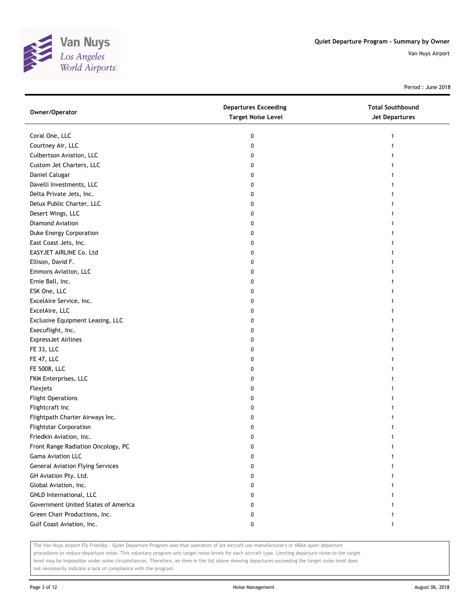

Period : June 2018

| Owner/Operator                          | <b>Departures Exceeding</b><br><b>Target Noise Level</b> | <b>Total Southbound</b><br>Jet Departures |
|-----------------------------------------|----------------------------------------------------------|-------------------------------------------|
| Coral One, LLC                          | 0                                                        | 1                                         |
| Courtney Air, LLC                       | 0                                                        |                                           |
| Culbertson Aviation, LLC                | 0                                                        |                                           |
| Custom Jet Charters, LLC                | 0                                                        |                                           |
| Daniel Calugar                          | 0                                                        |                                           |
| Davelli Investments, LLC                | 0                                                        |                                           |
| Delta Private Jets, Inc.                | 0                                                        |                                           |
| Delux Public Charter, LLC               | 0                                                        |                                           |
| Desert Wings, LLC                       | 0                                                        |                                           |
| Diamond Aviation                        | 0                                                        |                                           |
| Duke Energy Corporation                 | 0                                                        |                                           |
| East Coast Jets, Inc.                   | 0                                                        |                                           |
| EASYJET AIRLINE Co. Ltd                 | 0                                                        |                                           |
| Ellison, David F.                       | 0                                                        | 1                                         |
| Emmons Aviation, LLC                    | 0                                                        | 1                                         |
| Ernie Ball, Inc.                        | 0                                                        |                                           |
| ESK One, LLC                            | 0                                                        |                                           |
| ExcelAire Service, Inc.                 | 0                                                        |                                           |
| ExcelAire, LLC                          | 0                                                        |                                           |
| Exclusive Equipment Leasing, LLC        | 0                                                        |                                           |
| Execuflight, Inc.                       | 0                                                        |                                           |
| <b>ExpressJet Airlines</b>              | 0                                                        |                                           |
| FE 33, LLC                              | 0                                                        |                                           |
| FE 47, LLC                              | 0                                                        |                                           |
| FE 5008, LLC                            | 0                                                        | 1                                         |
| FKM Enterprises, LLC                    | 0                                                        |                                           |
| Flexjets                                | 0                                                        |                                           |
| <b>Flight Operations</b>                | 0                                                        |                                           |
| Flightcraft Inc                         | 0                                                        |                                           |
| Flightpath Charter Airways Inc.         | 0                                                        |                                           |
| <b>Flightstar Corporation</b>           | 0                                                        |                                           |
| Friedkin Aviation, Inc.                 | 0                                                        |                                           |
| Front Range Radiation Oncology, PC      | 0                                                        | 1                                         |
| Gama Aviation LLC                       | 0                                                        |                                           |
| <b>General Aviation Flying Services</b> | 0                                                        |                                           |
| GH Aviation Pty. Ltd.                   | 0                                                        |                                           |
| Global Aviation, Inc.                   | 0                                                        |                                           |
| GNLD International, LLC                 | 0                                                        |                                           |
| Government United States of America     | 0                                                        |                                           |
| Green Chair Productions, Inc.           | 0                                                        |                                           |
| Gulf Coast Aviation, Inc.               | 0                                                        | 1                                         |

The Van Nuys Airport Fly Friendly - Quiet Departure Program asks that operators of jet aircraft use manufacturer's or NBAA quiet departure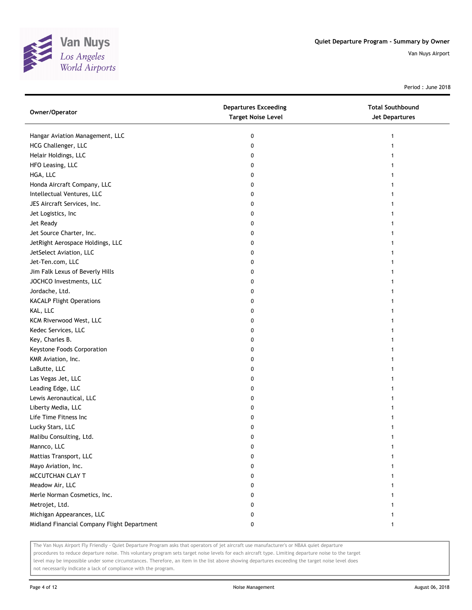

Period : June 2018

| Owner/Operator                              | <b>Departures Exceeding</b><br><b>Target Noise Level</b> | <b>Total Southbound</b><br><b>Jet Departures</b> |
|---------------------------------------------|----------------------------------------------------------|--------------------------------------------------|
| Hangar Aviation Management, LLC             | 0                                                        |                                                  |
| HCG Challenger, LLC                         | 0                                                        |                                                  |
| Helair Holdings, LLC                        | 0                                                        |                                                  |
| HFO Leasing, LLC                            | 0                                                        |                                                  |
| HGA, LLC                                    | 0                                                        |                                                  |
| Honda Aircraft Company, LLC                 | 0                                                        |                                                  |
| Intellectual Ventures, LLC                  | 0                                                        |                                                  |
| JES Aircraft Services, Inc.                 | 0                                                        |                                                  |
| Jet Logistics, Inc                          | 0                                                        |                                                  |
| Jet Ready                                   | 0                                                        |                                                  |
| Jet Source Charter, Inc.                    | 0                                                        |                                                  |
| JetRight Aerospace Holdings, LLC            | 0                                                        |                                                  |
| JetSelect Aviation, LLC                     | 0                                                        |                                                  |
| Jet-Ten.com, LLC                            | 0                                                        |                                                  |
| Jim Falk Lexus of Beverly Hills             | 0                                                        |                                                  |
| JOCHCO Investments, LLC                     | 0                                                        | 1                                                |
| Jordache, Ltd.                              | 0                                                        |                                                  |
| <b>KACALP Flight Operations</b>             | 0                                                        |                                                  |
| KAL, LLC                                    | 0                                                        |                                                  |
| KCM Riverwood West, LLC                     | 0                                                        |                                                  |
| Kedec Services, LLC                         | 0                                                        |                                                  |
| Key, Charles B.                             | 0                                                        |                                                  |
| Keystone Foods Corporation                  | 0                                                        |                                                  |
| KMR Aviation, Inc.                          | 0                                                        |                                                  |
| LaButte, LLC                                | 0                                                        |                                                  |
| Las Vegas Jet, LLC                          | 0                                                        |                                                  |
| Leading Edge, LLC                           | 0                                                        |                                                  |
| Lewis Aeronautical, LLC                     | 0                                                        |                                                  |
| Liberty Media, LLC                          | 0                                                        |                                                  |
| Life Time Fitness Inc                       | 0                                                        |                                                  |
| Lucky Stars, LLC                            | 0                                                        |                                                  |
| Malibu Consulting, Ltd.                     | 0                                                        |                                                  |
| Mannco, LLC                                 | 0                                                        |                                                  |
| Mattias Transport, LLC                      | 0                                                        |                                                  |
| Mayo Aviation, Inc.                         | 0                                                        |                                                  |
| MCCUTCHAN CLAY T                            | 0                                                        |                                                  |
| Meadow Air, LLC                             | 0                                                        |                                                  |
| Merle Norman Cosmetics, Inc.                | 0                                                        |                                                  |
| Metrojet, Ltd.                              | 0                                                        |                                                  |
| Michigan Appearances, LLC                   | 0                                                        |                                                  |
| Midland Financial Company Flight Department | 0                                                        | 1                                                |

The Van Nuys Airport Fly Friendly - Quiet Departure Program asks that operators of jet aircraft use manufacturer's or NBAA quiet departure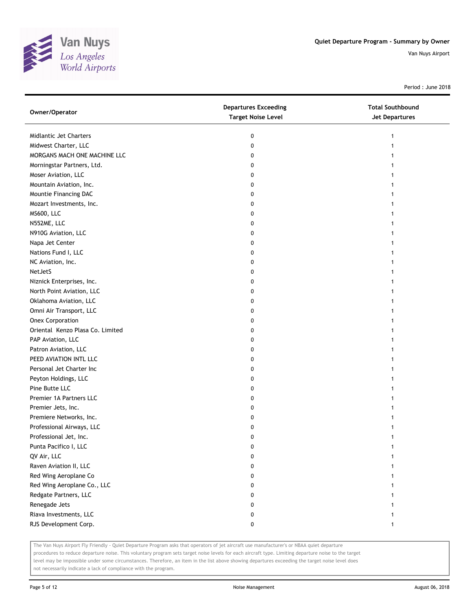

Period : June 2018

| Owner/Operator                   | <b>Departures Exceeding</b><br><b>Target Noise Level</b> | <b>Total Southbound</b><br>Jet Departures |
|----------------------------------|----------------------------------------------------------|-------------------------------------------|
| Midlantic Jet Charters           | 0                                                        | 1                                         |
| Midwest Charter, LLC             | 0                                                        |                                           |
| MORGANS MACH ONE MACHINE LLC     | 0                                                        |                                           |
| Morningstar Partners, Ltd.       | 0                                                        |                                           |
| Moser Aviation, LLC              | 0                                                        |                                           |
| Mountain Aviation, Inc.          | 0                                                        |                                           |
| Mountie Financing DAC            | 0                                                        |                                           |
| Mozart Investments, Inc.         | 0                                                        |                                           |
| <b>MS600, LLC</b>                | 0                                                        |                                           |
| N552ME, LLC                      | 0                                                        |                                           |
| N910G Aviation, LLC              | 0                                                        |                                           |
| Napa Jet Center                  | 0                                                        |                                           |
| Nations Fund I, LLC              | 0                                                        |                                           |
| NC Aviation, Inc.                | 0                                                        |                                           |
| NetJetS                          | 0                                                        |                                           |
| Niznick Enterprises, Inc.        | 0                                                        |                                           |
| North Point Aviation, LLC        | 0                                                        |                                           |
| Oklahoma Aviation, LLC           | 0                                                        |                                           |
| Omni Air Transport, LLC          | 0                                                        |                                           |
| <b>Onex Corporation</b>          | 0                                                        |                                           |
| Oriental Kenzo Plasa Co. Limited | 0                                                        |                                           |
| PAP Aviation, LLC                | 0                                                        |                                           |
| Patron Aviation, LLC             | 0                                                        |                                           |
| PEED AVIATION INTL LLC           | 0                                                        |                                           |
| Personal Jet Charter Inc         | 0                                                        |                                           |
| Peyton Holdings, LLC             | 0                                                        |                                           |
| Pine Butte LLC                   | 0                                                        |                                           |
| Premier 1A Partners LLC          | 0                                                        |                                           |
| Premier Jets, Inc.               | 0                                                        |                                           |
| Premiere Networks, Inc.          | 0                                                        |                                           |
| Professional Airways, LLC        | 0                                                        |                                           |
| Professional Jet, Inc.           | 0                                                        |                                           |
| Punta Pacifico I, LLC            | 0                                                        | 1                                         |
| QV Air, LLC                      | 0                                                        |                                           |
| Raven Aviation II, LLC           | 0                                                        |                                           |
| Red Wing Aeroplane Co            | 0                                                        |                                           |
| Red Wing Aeroplane Co., LLC      | 0                                                        |                                           |
| Redgate Partners, LLC            | 0                                                        |                                           |
| Renegade Jets                    | 0                                                        |                                           |
| Riava Investments, LLC           | 0                                                        |                                           |
| RJS Development Corp.            | 0                                                        | 1                                         |

The Van Nuys Airport Fly Friendly - Quiet Departure Program asks that operators of jet aircraft use manufacturer's or NBAA quiet departure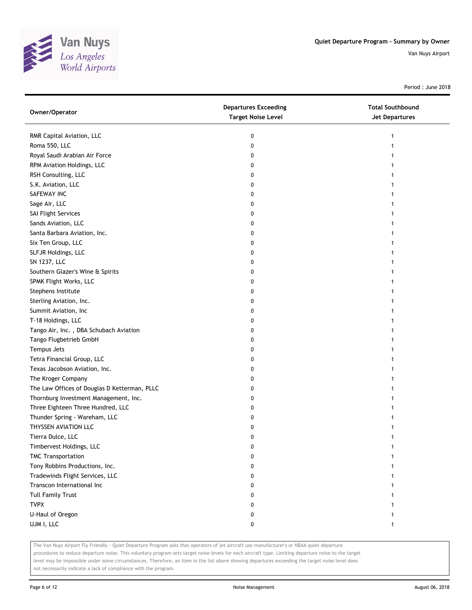

Period : June 2018

| Owner/Operator                               | <b>Departures Exceeding</b><br><b>Target Noise Level</b> | <b>Total Southbound</b><br>Jet Departures |
|----------------------------------------------|----------------------------------------------------------|-------------------------------------------|
| RMR Capital Aviation, LLC                    | 0                                                        | 1                                         |
| Roma 550, LLC                                | 0                                                        |                                           |
| Royal Saudi Arabian Air Force                | 0                                                        |                                           |
| RPM Aviation Holdings, LLC                   | 0                                                        |                                           |
| RSH Consulting, LLC                          | 0                                                        |                                           |
| S.K. Aviation, LLC                           | 0                                                        |                                           |
| SAFEWAY INC                                  | 0                                                        |                                           |
| Sage Air, LLC                                | 0                                                        |                                           |
| SAI Flight Services                          | 0                                                        |                                           |
| Sands Aviation, LLC                          | 0                                                        |                                           |
| Santa Barbara Aviation, Inc.                 | 0                                                        |                                           |
| Six Ten Group, LLC                           | 0                                                        |                                           |
| SLFJR Holdings, LLC                          | 0                                                        |                                           |
| SN 1237, LLC                                 | 0                                                        |                                           |
| Southern Glazer's Wine & Spirits             | 0                                                        |                                           |
| SPMK Flight Works, LLC                       | 0                                                        |                                           |
| Stephens Institute                           | 0                                                        |                                           |
| Sterling Aviation, Inc.                      | 0                                                        |                                           |
| Summit Aviation, Inc                         | 0                                                        |                                           |
| T-18 Holdings, LLC                           | 0                                                        |                                           |
| Tango Air, Inc., DBA Schubach Aviation       | 0                                                        |                                           |
| Tango Flugbetrieb GmbH                       | 0                                                        |                                           |
| Tempus Jets                                  | 0                                                        |                                           |
| Tetra Financial Group, LLC                   | 0                                                        |                                           |
| Texas Jacobson Aviation, Inc.                | 0                                                        |                                           |
| The Kroger Company                           | 0                                                        |                                           |
| The Law Offices of Douglas D Ketterman, PLLC | 0                                                        |                                           |
| Thornburg Investment Management, Inc.        | 0                                                        |                                           |
| Three Eighteen Three Hundred, LLC            | 0                                                        |                                           |
| Thunder Spring - Wareham, LLC                | 0                                                        |                                           |
| THYSSEN AVIATION LLC                         | 0                                                        |                                           |
| Tierra Dulce, LLC                            | 0                                                        |                                           |
| Timbervest Holdings, LLC                     | 0                                                        |                                           |
| <b>TMC Transportation</b>                    | 0                                                        |                                           |
| Tony Robbins Productions, Inc.               | 0                                                        |                                           |
| Tradewinds Flight Services, LLC              | 0                                                        |                                           |
| Transcon International Inc                   | 0                                                        |                                           |
| <b>Tull Family Trust</b>                     | 0                                                        |                                           |
| <b>TVPX</b>                                  | 0                                                        |                                           |
| U-Haul of Oregon                             | 0                                                        |                                           |
| UJM I, LLC                                   | 0                                                        | 1                                         |

The Van Nuys Airport Fly Friendly - Quiet Departure Program asks that operators of jet aircraft use manufacturer's or NBAA quiet departure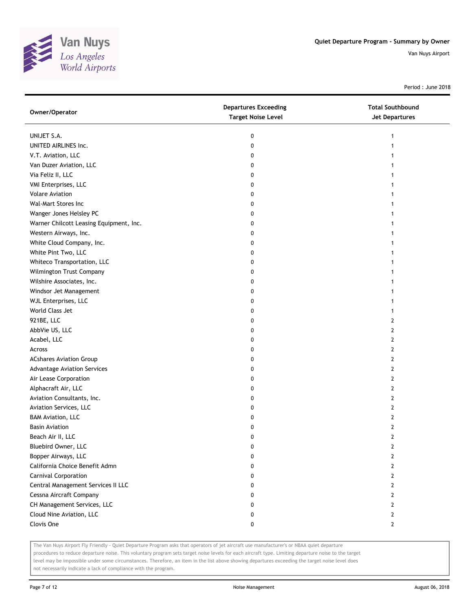

Period : June 2018

| Owner/Operator                          | <b>Departures Exceeding</b><br><b>Target Noise Level</b> | <b>Total Southbound</b><br><b>Jet Departures</b> |
|-----------------------------------------|----------------------------------------------------------|--------------------------------------------------|
| UNIJET S.A.                             | 0                                                        | 1                                                |
| UNITED AIRLINES Inc.                    | 0                                                        |                                                  |
| V.T. Aviation, LLC                      | 0                                                        |                                                  |
| Van Duzer Aviation, LLC                 | 0                                                        |                                                  |
| Via Feliz II, LLC                       | 0                                                        | 1                                                |
| VMI Enterprises, LLC                    | 0                                                        | 1                                                |
| <b>Volare Aviation</b>                  | 0                                                        | 1                                                |
| Wal-Mart Stores Inc                     | 0                                                        | 1                                                |
| Wanger Jones Helsley PC                 | 0                                                        |                                                  |
| Warner Chilcott Leasing Equipment, Inc. | 0                                                        |                                                  |
| Western Airways, Inc.                   | 0                                                        |                                                  |
| White Cloud Company, Inc.               | 0                                                        |                                                  |
| White Pint Two, LLC                     | 0                                                        |                                                  |
| Whiteco Transportation, LLC             | 0                                                        |                                                  |
| Wilmington Trust Company                | 0                                                        |                                                  |
| Wilshire Associates, Inc.               | 0                                                        |                                                  |
| Windsor Jet Management                  | 0                                                        |                                                  |
| WJL Enterprises, LLC                    | 0                                                        |                                                  |
| World Class Jet                         | 0                                                        | 1                                                |
| 921BE, LLC                              | 0                                                        | 2                                                |
| AbbVie US, LLC                          | 0                                                        | $\overline{2}$                                   |
| Acabel, LLC                             | 0                                                        | $\overline{2}$                                   |
| Across                                  | 0                                                        | $\overline{2}$                                   |
| <b>ACshares Aviation Group</b>          | 0                                                        | $\overline{2}$                                   |
| <b>Advantage Aviation Services</b>      | 0                                                        | $\overline{2}$                                   |
| Air Lease Corporation                   | 0                                                        | 2                                                |
| Alphacraft Air, LLC                     | 0                                                        | 2                                                |
| Aviation Consultants, Inc.              | 0                                                        | 2                                                |
| Aviation Services, LLC                  | 0                                                        | 2                                                |
| <b>BAM Aviation, LLC</b>                | 0                                                        | $\overline{2}$                                   |
| <b>Basin Aviation</b>                   | 0                                                        | 2                                                |
| Beach Air II, LLC                       | 0                                                        | $\overline{2}$                                   |
| Bluebird Owner, LLC                     | 0                                                        | 2                                                |
| Bopper Airways, LLC                     | 0                                                        | 2                                                |
| California Choice Benefit Admn          | 0                                                        | $\overline{2}$                                   |
| Carnival Corporation                    | 0                                                        | $\mathbf{2}$                                     |
| Central Management Services II LLC      | 0                                                        | $\mathbf{2}$                                     |
| Cessna Aircraft Company                 | 0                                                        | $\mathbf{2}$                                     |
| CH Management Services, LLC             | 0                                                        | $\mathbf{2}$                                     |
| Cloud Nine Aviation, LLC                | 0                                                        | $\mathbf{2}$                                     |
| Clovis One                              | 0                                                        | $\mathbf{2}$                                     |

The Van Nuys Airport Fly Friendly - Quiet Departure Program asks that operators of jet aircraft use manufacturer's or NBAA quiet departure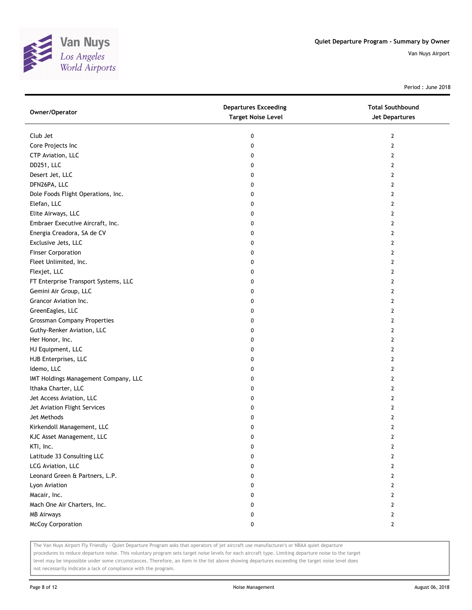

Period : June 2018

| Owner/Operator                       | <b>Departures Exceeding</b><br><b>Target Noise Level</b> | <b>Total Southbound</b><br><b>Jet Departures</b> |
|--------------------------------------|----------------------------------------------------------|--------------------------------------------------|
| Club Jet                             | 0                                                        | 2                                                |
| Core Projects Inc                    | 0                                                        | $\overline{2}$                                   |
| CTP Aviation, LLC                    | 0                                                        | $\overline{2}$                                   |
| DD251, LLC                           | 0                                                        | $\overline{2}$                                   |
| Desert Jet, LLC                      | 0                                                        | 2                                                |
| DFN26PA, LLC                         | 0                                                        | 2                                                |
| Dole Foods Flight Operations, Inc.   | 0                                                        | 2                                                |
| Elefan, LLC                          | 0                                                        | 2                                                |
| Elite Airways, LLC                   | 0                                                        | $\overline{2}$                                   |
| Embraer Executive Aircraft, Inc.     | 0                                                        | $\mathbf{2}$                                     |
| Energia Creadora, SA de CV           | 0                                                        | $\overline{2}$                                   |
| Exclusive Jets, LLC                  | 0                                                        | $\overline{2}$                                   |
| <b>Finser Corporation</b>            | 0                                                        | $\mathbf{2}$                                     |
| Fleet Unlimited, Inc.                | 0                                                        | $\mathbf{2}$                                     |
| Flexjet, LLC                         | 0                                                        | $\mathbf{2}$                                     |
| FT Enterprise Transport Systems, LLC | 0                                                        | $\overline{2}$                                   |
| Gemini Air Group, LLC                | 0                                                        | $\overline{2}$                                   |
| Grancor Aviation Inc.                | 0                                                        | $\overline{2}$                                   |
| GreenEagles, LLC                     | 0                                                        | $\overline{2}$                                   |
| <b>Grossman Company Properties</b>   | 0                                                        | $\overline{2}$                                   |
| Guthy-Renker Aviation, LLC           | 0                                                        | $\overline{2}$                                   |
| Her Honor, Inc.                      | 0                                                        | 2                                                |
| HJ Equipment, LLC                    | 0                                                        | $\overline{2}$                                   |
| HJB Enterprises, LLC                 | 0                                                        | $\overline{2}$                                   |
| Idemo, LLC                           | 0                                                        | 2                                                |
| IMT Holdings Management Company, LLC | 0                                                        | 2                                                |
| Ithaka Charter, LLC                  | 0                                                        | $\overline{2}$                                   |
| Jet Access Aviation, LLC             | 0                                                        | $\mathbf{2}$                                     |
| Jet Aviation Flight Services         | 0                                                        | $\overline{2}$                                   |
| Jet Methods                          | 0                                                        | $\overline{2}$                                   |
| Kirkendoll Management, LLC           | 0                                                        | $\overline{2}$                                   |
| KJC Asset Management, LLC            | 0                                                        | $\overline{2}$                                   |
| KTI, Inc.                            | 0                                                        | 2                                                |
| Latitude 33 Consulting LLC           | 0                                                        | 2                                                |
| LCG Aviation, LLC                    | 0                                                        | 2                                                |
| Leonard Green & Partners, L.P.       | 0                                                        | 2                                                |
| Lyon Aviation                        | 0                                                        | 2                                                |
| Macair, Inc.                         | 0                                                        | 2                                                |
| Mach One Air Charters, Inc.          | 0                                                        | $\overline{2}$                                   |
| <b>MB Airways</b>                    | 0                                                        | $\mathbf{2}$                                     |
| McCoy Corporation                    | 0                                                        | $\mathbf{2}$                                     |

The Van Nuys Airport Fly Friendly - Quiet Departure Program asks that operators of jet aircraft use manufacturer's or NBAA quiet departure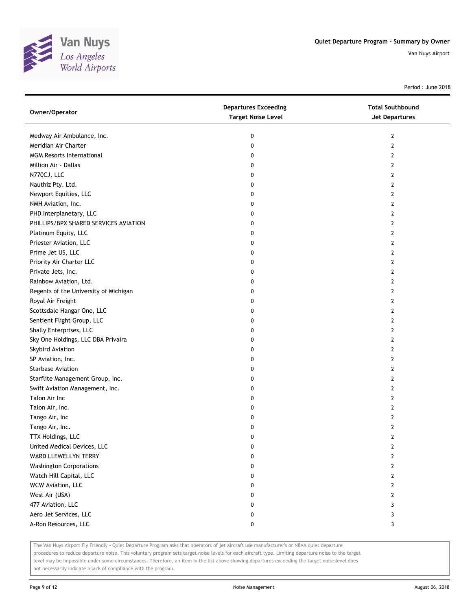

Period : June 2018

| Owner/Operator                        | <b>Departures Exceeding</b><br><b>Target Noise Level</b> | <b>Total Southbound</b><br>Jet Departures |
|---------------------------------------|----------------------------------------------------------|-------------------------------------------|
| Medway Air Ambulance, Inc.            | 0                                                        | 2                                         |
| Meridian Air Charter                  | 0                                                        | 2                                         |
| <b>MGM Resorts International</b>      | 0                                                        | $\mathbf{2}$                              |
| Million Air - Dallas                  | 0                                                        | 2                                         |
| N770CJ, LLC                           | 0                                                        | 2                                         |
| Nauthiz Pty. Ltd.                     | 0                                                        | 2                                         |
| Newport Equities, LLC                 | 0                                                        | 2                                         |
| NMH Aviation, Inc.                    | 0                                                        | 2                                         |
| PHD Interplanetary, LLC               | 0                                                        | 2                                         |
| PHILLIPS/BPX SHARED SERVICES AVIATION | 0                                                        | 2                                         |
| Platinum Equity, LLC                  | 0                                                        | 2                                         |
| Priester Aviation, LLC                | 0                                                        | 2                                         |
| Prime Jet US, LLC                     | 0                                                        | $\mathbf{2}$                              |
| Priority Air Charter LLC              | 0                                                        | 2                                         |
| Private Jets, Inc.                    | 0                                                        | 2                                         |
| Rainbow Aviation, Ltd.                | 0                                                        | 2                                         |
| Regents of the University of Michigan | 0                                                        | 2                                         |
| Royal Air Freight                     | 0                                                        | 2                                         |
| Scottsdale Hangar One, LLC            | 0                                                        | 2                                         |
| Sentient Flight Group, LLC            | 0                                                        | 2                                         |
| Shally Enterprises, LLC               | 0                                                        | 2                                         |
| Sky One Holdings, LLC DBA Privaira    | 0                                                        | 2                                         |
| Skybird Aviation                      | 0                                                        | $\overline{2}$                            |
| SP Aviation, Inc.                     | 0                                                        | 2                                         |
| <b>Starbase Aviation</b>              | 0                                                        | 2                                         |
| Starflite Management Group, Inc.      | 0                                                        | 2                                         |
| Swift Aviation Management, Inc.       | 0                                                        | 2                                         |
| Talon Air Inc                         | 0                                                        | 2                                         |
| Talon Air, Inc.                       | 0                                                        | 2                                         |
| Tango Air, Inc                        | 0                                                        | 2                                         |
| Tango Air, Inc.                       | 0                                                        | 2                                         |
| TTX Holdings, LLC                     | 0                                                        | 2                                         |
| United Medical Devices, LLC           | 0                                                        | $\overline{2}$                            |
| WARD LLEWELLYN TERRY                  | 0                                                        | $\overline{2}$                            |
| <b>Washington Corporations</b>        | 0                                                        | $\mathbf{2}$                              |
| Watch Hill Capital, LLC               | 0                                                        | $\mathbf{2}$                              |
| WCW Aviation, LLC                     | 0                                                        | 2                                         |
| West Air (USA)                        | 0                                                        | 2                                         |
| 477 Aviation, LLC                     | 0                                                        | 3                                         |
| Aero Jet Services, LLC                | 0                                                        | 3                                         |
| A-Ron Resources, LLC                  | 0                                                        | 3                                         |

The Van Nuys Airport Fly Friendly - Quiet Departure Program asks that operators of jet aircraft use manufacturer's or NBAA quiet departure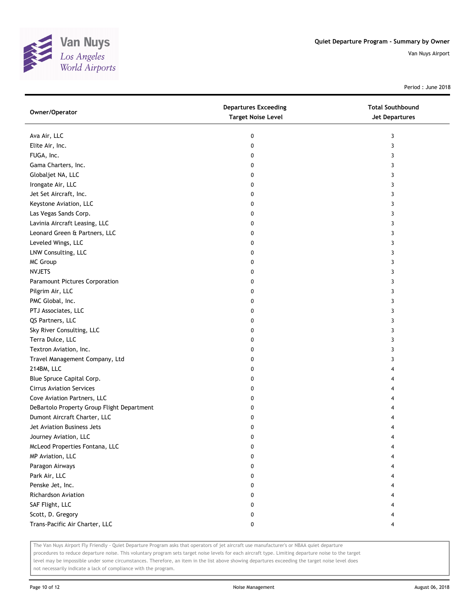

Period : June 2018

| Owner/Operator                             | <b>Departures Exceeding</b><br><b>Target Noise Level</b> | <b>Total Southbound</b><br><b>Jet Departures</b> |
|--------------------------------------------|----------------------------------------------------------|--------------------------------------------------|
| Ava Air, LLC                               | 0                                                        | 3                                                |
| Elite Air, Inc.                            | 0                                                        | 3                                                |
| FUGA, Inc.                                 | 0                                                        | 3                                                |
| Gama Charters, Inc.                        | 0                                                        | 3                                                |
| Globaljet NA, LLC                          | 0                                                        | 3                                                |
| Irongate Air, LLC                          | 0                                                        | 3                                                |
| Jet Set Aircraft, Inc.                     | 0                                                        | 3                                                |
| Keystone Aviation, LLC                     | 0                                                        | 3                                                |
| Las Vegas Sands Corp.                      | 0                                                        | 3                                                |
| Lavinia Aircraft Leasing, LLC              | 0                                                        | 3                                                |
| Leonard Green & Partners, LLC              | 0                                                        | 3                                                |
| Leveled Wings, LLC                         | 0                                                        | 3                                                |
| LNW Consulting, LLC                        | 0                                                        | 3                                                |
| MC Group                                   | 0                                                        | 3                                                |
| <b>NVJETS</b>                              | 0                                                        | 3                                                |
| Paramount Pictures Corporation             | 0                                                        | 3                                                |
| Pilgrim Air, LLC                           | 0                                                        | 3                                                |
| PMC Global, Inc.                           | 0                                                        | 3                                                |
| PTJ Associates, LLC                        | 0                                                        | 3                                                |
| QS Partners, LLC                           | 0                                                        | 3                                                |
| Sky River Consulting, LLC                  | 0                                                        | 3                                                |
| Terra Dulce, LLC                           | 0                                                        | 3                                                |
| Textron Aviation, Inc.                     | 0                                                        | 3                                                |
| Travel Management Company, Ltd             | 0                                                        | 3                                                |
| 214BM, LLC                                 | 0                                                        | 4                                                |
| Blue Spruce Capital Corp.                  | 0                                                        | 4                                                |
| <b>Cirrus Aviation Services</b>            | 0                                                        | 4                                                |
| Cove Aviation Partners, LLC                | 0                                                        | 4                                                |
| DeBartolo Property Group Flight Department | 0                                                        | 4                                                |
| Dumont Aircraft Charter, LLC               | 0                                                        |                                                  |
| Jet Aviation Business Jets                 | 0                                                        | 4                                                |
| Journey Aviation, LLC                      | 0                                                        | 4                                                |
| McLeod Properties Fontana, LLC             | 0                                                        |                                                  |
| MP Aviation, LLC                           | 0                                                        |                                                  |
| Paragon Airways                            | 0                                                        |                                                  |
| Park Air, LLC                              | 0                                                        | 4                                                |
| Penske Jet, Inc.                           | 0                                                        |                                                  |
| Richardson Aviation                        | 0                                                        |                                                  |
| SAF Flight, LLC                            | 0                                                        |                                                  |
| Scott, D. Gregory                          | 0                                                        |                                                  |
| Trans-Pacific Air Charter, LLC             | 0                                                        | 4                                                |

The Van Nuys Airport Fly Friendly - Quiet Departure Program asks that operators of jet aircraft use manufacturer's or NBAA quiet departure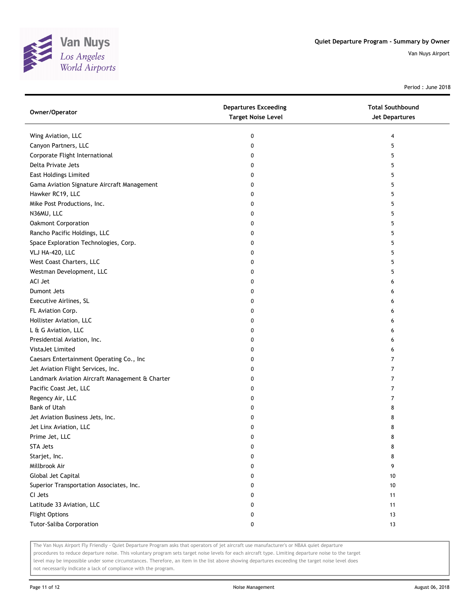

Period : June 2018

| Owner/Operator                                  | <b>Departures Exceeding</b><br><b>Target Noise Level</b> | <b>Total Southbound</b><br><b>Jet Departures</b> |
|-------------------------------------------------|----------------------------------------------------------|--------------------------------------------------|
| Wing Aviation, LLC                              | 0                                                        | 4                                                |
| Canyon Partners, LLC                            | 0                                                        | 5                                                |
| Corporate Flight International                  | 0                                                        | 5                                                |
| Delta Private Jets                              | 0                                                        | 5                                                |
| <b>East Holdings Limited</b>                    | 0                                                        | 5                                                |
| Gama Aviation Signature Aircraft Management     | 0                                                        | 5                                                |
| Hawker RC19, LLC                                | 0                                                        | 5                                                |
| Mike Post Productions, Inc.                     | 0                                                        | 5                                                |
| N36MU, LLC                                      | 0                                                        | 5                                                |
| Oakmont Corporation                             | 0                                                        | 5                                                |
| Rancho Pacific Holdings, LLC                    | 0                                                        | 5                                                |
| Space Exploration Technologies, Corp.           | 0                                                        | 5                                                |
| VLJ HA-420, LLC                                 | 0                                                        | 5                                                |
| West Coast Charters, LLC                        | 0                                                        | 5                                                |
| Westman Development, LLC                        | 0                                                        | 5                                                |
| ACI Jet                                         | 0                                                        | 6                                                |
| Dumont Jets                                     | 0                                                        | 6                                                |
| Executive Airlines, SL                          | 0                                                        | 6                                                |
| FL Aviation Corp.                               | 0                                                        | 6                                                |
| Hollister Aviation, LLC                         | 0                                                        | 6                                                |
| L & G Aviation, LLC                             | 0                                                        | 6                                                |
| Presidential Aviation, Inc.                     | 0                                                        | 6                                                |
| VistaJet Limited                                | 0                                                        | 6                                                |
| Caesars Entertainment Operating Co., Inc        | 0                                                        | 7                                                |
| Jet Aviation Flight Services, Inc.              | 0                                                        | 7                                                |
| Landmark Aviation Aircraft Management & Charter | 0                                                        | 7                                                |
| Pacific Coast Jet, LLC                          | 0                                                        | $\overline{7}$                                   |
| Regency Air, LLC                                | 0                                                        | $\overline{7}$                                   |
| <b>Bank of Utah</b>                             | 0                                                        | 8                                                |
| Jet Aviation Business Jets, Inc.                | 0                                                        | 8                                                |
| Jet Linx Aviation, LLC                          | 0                                                        | 8                                                |
| Prime Jet, LLC                                  | 0                                                        | 8                                                |
| STA Jets                                        | 0                                                        | 8                                                |
| Starjet, Inc.                                   | 0                                                        | 8                                                |
| Millbrook Air                                   | 0                                                        | 9                                                |
| Global Jet Capital                              | 0                                                        | 10                                               |
| Superior Transportation Associates, Inc.        | 0                                                        | 10                                               |
| CI Jets                                         | 0                                                        | 11                                               |
| Latitude 33 Aviation, LLC                       | 0                                                        | 11                                               |
| <b>Flight Options</b>                           | 0                                                        | 13                                               |
| Tutor-Saliba Corporation                        | 0                                                        | 13                                               |
|                                                 |                                                          |                                                  |

The Van Nuys Airport Fly Friendly - Quiet Departure Program asks that operators of jet aircraft use manufacturer's or NBAA quiet departure